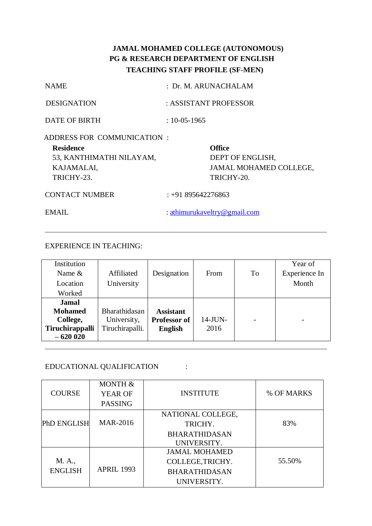# **JAMAL MOHAMED COLLEGE (AUTONOMOUS) PG & RESEARCH DEPARTMENT OF ENGLISH TEACHING STAFF PROFILE (SF-MEN)**

| <b>Residence</b>           |                       |
|----------------------------|-----------------------|
| ADDRESS FOR COMMUNICATION: |                       |
| DATE OF BIRTH              | $: 10 - 05 - 1965$    |
| <b>DESIGNATION</b>         | : ASSISTANT PROFESSOR |
| <b>NAME</b>                | : Dr. M. ARUNACHALAM  |

53, KANTHIMATHI NILAYAM, DEPT OF ENGLISH, TRICHY-23. TRICHY-20.

KAJAMALAI, JAMAL MOHAMED COLLEGE,

CONTACT NUMBER : +91 895642276863

EMAIL : [athimurukaveltry@gmail.com](mailto:athimurukaveltry@gmail.com)

EXPERIENCE IN TEACHING:

| Institution     |                 |                  |            |    | Year of                  |
|-----------------|-----------------|------------------|------------|----|--------------------------|
| Name $&$        | Affiliated      | Designation      | From       | To | Experience In            |
| Location        | University      |                  |            |    | Month                    |
| Worked          |                 |                  |            |    |                          |
| <b>Jamal</b>    |                 |                  |            |    |                          |
| <b>Mohamed</b>  | Bharathidasan   | <b>Assistant</b> |            |    |                          |
| College,        | University,     | Professor of     | $14$ -JUN- |    | $\overline{\phantom{0}}$ |
| Tiruchirappalli | Tiruchirapalli. | <b>English</b>   | 2016       |    |                          |
| $-620020$       |                 |                  |            |    |                          |

## EDUCATIONAL QUALIFICATION :

|                    | MONTH &           |                      |            |
|--------------------|-------------------|----------------------|------------|
| <b>COURSE</b>      | <b>YEAR OF</b>    | <b>INSTITUTE</b>     | % OF MARKS |
|                    | <b>PASSING</b>    |                      |            |
|                    |                   | NATIONAL COLLEGE,    |            |
| <b>PhD ENGLISH</b> | <b>MAR-2016</b>   | TRICHY.              | 83%        |
|                    |                   | <b>BHARATHIDASAN</b> |            |
|                    |                   | UNIVERSITY.          |            |
|                    |                   | <b>JAMAL MOHAMED</b> |            |
| M. A.,             |                   | COLLEGE, TRICHY.     | 55.50%     |
| <b>ENGLISH</b>     | <b>APRIL 1993</b> | <b>BHARATHIDASAN</b> |            |
|                    |                   | UNIVERSITY.          |            |